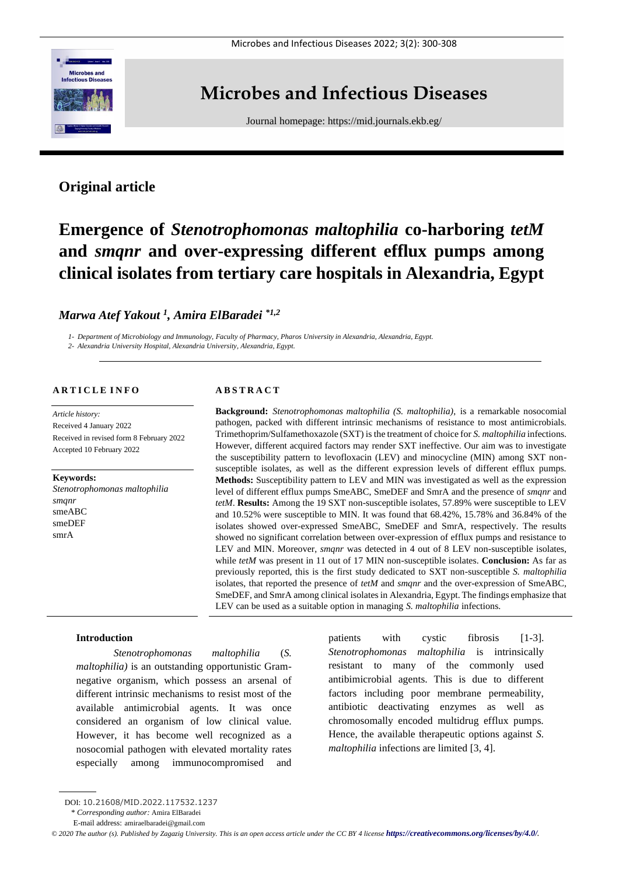

## **Microbes and Infectious Diseases**

Journal homepage:<https://mid.journals.ekb.eg/>

## **Original article**

# **Emergence of** *Stenotrophomonas maltophilia* **co-harboring** *tetM* **and** *smqnr* **and over-expressing different efflux pumps among clinical isolates from tertiary care hospitals in Alexandria, Egypt**

## *Marwa Atef Yakout <sup>1</sup> , Amira ElBaradei \*1,2*

*1- Department of Microbiology and Immunology, Faculty of Pharmacy, Pharos University in Alexandria, Alexandria, Egypt. 2- Alexandria University Hospital, Alexandria University, Alexandria, Egypt.*

## **A R T I C L E I N F O**

*Article history:*  Received 4 January 2022 Received in revised form 8 February 2022 Accepted 10 February 2022

**Keywords:** *Stenotrophomonas maltophilia smqnr* smeABC smeDEF smrA

## **A B S T R A C T**

**Background:** *Stenotrophomonas maltophilia (S. maltophilia)*, is a remarkable nosocomial pathogen, packed with different intrinsic mechanisms of resistance to most antimicrobials. Trimethoprim/Sulfamethoxazole (SXT) is the treatment of choice for *S. maltophilia* infections. However, different acquired factors may render SXT ineffective. Our aim was to investigate the susceptibility pattern to levofloxacin (LEV) and minocycline (MIN) among SXT nonsusceptible isolates, as well as the different expression levels of different efflux pumps. **Methods:** Susceptibility pattern to LEV and MIN was investigated as well as the expression level of different efflux pumps SmeABC, SmeDEF and SmrA and the presence of *smqnr* and *tetM*. **Results:** Among the 19 SXT non-susceptible isolates, 57.89% were susceptible to LEV and 10.52% were susceptible to MIN. It was found that 68.42%, 15.78% and 36.84% of the isolates showed over-expressed SmeABC, SmeDEF and SmrA, respectively. The results showed no significant correlation between over-expression of efflux pumps and resistance to LEV and MIN. Moreover, *smqnr* was detected in 4 out of 8 LEV non-susceptible isolates, while *tetM* was present in 11 out of 17 MIN non-susceptible isolates. **Conclusion:** As far as previously reported, this is the first study dedicated to SXT non-susceptible *S. maltophilia* isolates, that reported the presence of *tetM* and *smqnr* and the over-expression of SmeABC, SmeDEF, and SmrA among clinical isolates in Alexandria, Egypt. The findings emphasize that LEV can be used as a suitable option in managing *S. maltophilia* infections.

## **Introduction**

*Stenotrophomonas maltophilia* (*S. maltophilia)* is an outstanding opportunistic Gramnegative organism, which possess an arsenal of different intrinsic mechanisms to resist most of the available antimicrobial agents. It was once considered an organism of low clinical value. However, it has become well recognized as a nosocomial pathogen with elevated mortality rates especially among immunocompromised and

patients with cystic fibrosis [1-3]. *Stenotrophomonas maltophilia* is intrinsically resistant to many of the commonly used antibimicrobial agents. This is due to different factors including poor membrane permeability, antibiotic deactivating enzymes as well as chromosomally encoded multidrug efflux pumps. Hence, the available therapeutic options against *S. maltophilia* infections are limited [3, 4].

DOI: 10.21608/MID.2022.117532.1237

<sup>\*</sup> *Corresponding author:* Amira ElBaradei

E-mail address: amiraelbaradei@gmail.com

*<sup>©</sup> 2020 The author (s). Published by Zagazig University. This is an open access article under the CC BY 4 license <https://creativecommons.org/licenses/by/4.0/>.*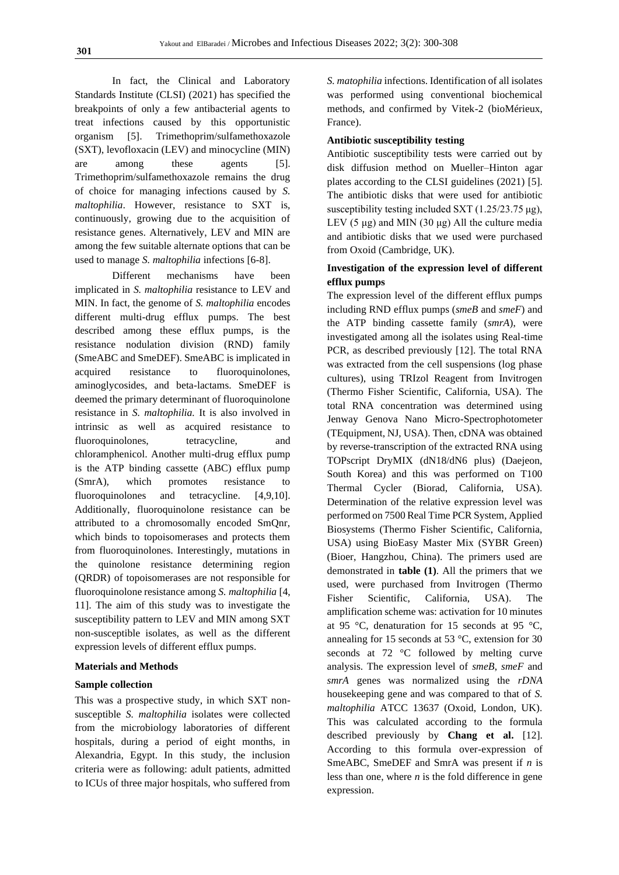In fact, the Clinical and Laboratory Standards Institute (CLSI) (2021) has specified the breakpoints of only a few antibacterial agents to treat infections caused by this opportunistic organism [5]. Trimethoprim/sulfamethoxazole (SXT), levofloxacin (LEV) and minocycline (MIN) are among these agents [5]. Trimethoprim/sulfamethoxazole remains the drug of choice for managing infections caused by *S. maltophilia*. However, resistance to SXT is, continuously, growing due to the acquisition of resistance genes. Alternatively, LEV and MIN are among the few suitable alternate options that can be used to manage *S. maltophilia* infections [6-8].

Different mechanisms have been implicated in *S. maltophilia* resistance to LEV and MIN. In fact, the genome of *S. maltophilia* encodes different multi-drug efflux pumps. The best described among these efflux pumps, is the resistance nodulation division (RND) family (SmeABC and SmeDEF). SmeABC is implicated in acquired resistance to fluoroquinolones, aminoglycosides, and beta-lactams. SmeDEF is deemed the primary determinant of fluoroquinolone resistance in *S. maltophilia.* It is also involved in intrinsic as well as acquired resistance to fluoroquinolones, tetracycline, and chloramphenicol. Another multi-drug efflux pump is the ATP binding cassette (ABC) efflux pump (SmrA), which promotes resistance to fluoroquinolones and tetracycline. [4,9,10]. Additionally, fluoroquinolone resistance can be attributed to a chromosomally encoded SmQnr, which binds to topoisomerases and protects them from fluoroquinolones. Interestingly, mutations in the quinolone resistance determining region (QRDR) of topoisomerases are not responsible for fluoroquinolone resistance among *S. maltophilia* [4, 11]. The aim of this study was to investigate the susceptibility pattern to LEV and MIN among SXT non-susceptible isolates, as well as the different expression levels of different efflux pumps.

## **Materials and Methods**

## **Sample collection**

This was a prospective study, in which SXT nonsusceptible *S. maltophilia* isolates were collected from the microbiology laboratories of different hospitals, during a period of eight months, in Alexandria, Egypt. In this study, the inclusion criteria were as following: adult patients, admitted to ICUs of three major hospitals, who suffered from

*S. matophilia* infections. Identification of all isolates was performed using conventional biochemical methods, and confirmed by Vitek-2 (bioMérieux, France).

## **Antibiotic susceptibility testing**

Antibiotic susceptibility tests were carried out by disk diffusion method on Mueller–Hinton agar plates according to the CLSI guidelines (2021) [5]. The antibiotic disks that were used for antibiotic susceptibility testing included SXT (1.25/23.75 μg), LEV  $(5 \mu g)$  and MIN  $(30 \mu g)$  All the culture media and antibiotic disks that we used were purchased from Oxoid (Cambridge, UK).

## **Investigation of the expression level of different efflux pumps**

The expression level of the different efflux pumps including RND efflux pumps (*smeB* and *smeF*) and the ATP binding cassette family (*smrA*), were investigated among all the isolates using Real-time PCR, as described previously [12]. The total RNA was extracted from the cell suspensions (log phase cultures), using TRIzol Reagent from Invitrogen (Thermo Fisher Scientific, California, USA). The total RNA concentration was determined using Jenway Genova Nano Micro-Spectrophotometer (TEquipment, NJ, USA). Then, cDNA was obtained by reverse-transcription of the extracted RNA using TOPscript DryMIX (dN18/dN6 plus) (Daejeon, South Korea) and this was performed on T100 Thermal Cycler (Biorad, California, USA). Determination of the relative expression level was performed on 7500 Real Time PCR System, Applied Biosystems (Thermo Fisher Scientific, California, USA) using BioEasy Master Mix (SYBR Green) (Bioer, Hangzhou, China). The primers used are demonstrated in **table (1)**. All the primers that we used, were purchased from Invitrogen (Thermo Fisher Scientific, California, USA). The amplification scheme was: activation for 10 minutes at 95 °C, denaturation for 15 seconds at 95 °C, annealing for 15 seconds at 53 °C, extension for 30 seconds at 72 °C followed by melting curve analysis. The expression level of *smeB*, *smeF* and *smrA* genes was normalized using the *rDNA* housekeeping gene and was compared to that of *S. maltophilia* ATCC 13637 (Oxoid, London, UK). This was calculated according to the formula described previously by **Chang et al.** [12]. According to this formula over-expression of SmeABC, SmeDEF and SmrA was present if *n* is less than one, where *n* is the fold difference in gene expression.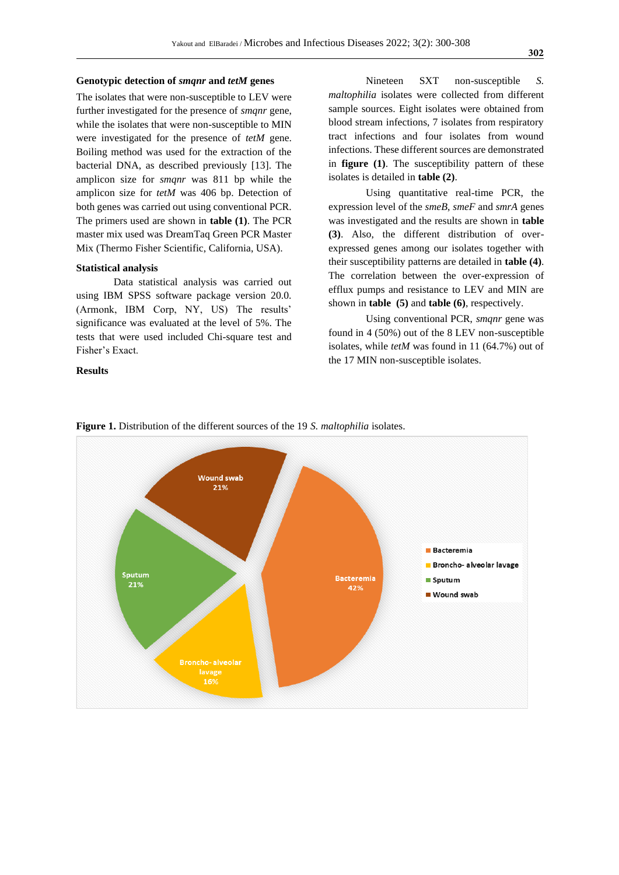## **Genotypic detection of** *smqnr* **and** *tetM* **genes**

The isolates that were non-susceptible to LEV were further investigated for the presence of *smqnr* gene, while the isolates that were non-susceptible to MIN were investigated for the presence of *tetM* gene. Boiling method was used for the extraction of the bacterial DNA, as described previously [13]. The amplicon size for *smqnr* was 811 bp while the amplicon size for *tetM* was 406 bp. Detection of both genes was carried out using conventional PCR. The primers used are shown in **table (1)**. The PCR master mix used was DreamTaq Green PCR Master Mix (Thermo Fisher Scientific, California, USA).

## **Statistical analysis**

Data statistical analysis was carried out using IBM SPSS software package version 20.0. (Armonk, IBM Corp, NY, US) The results' significance was evaluated at the level of 5%. The tests that were used included Chi-square test and Fisher's Exact.

## **Results**

Nineteen SXT non-susceptible *S. maltophilia* isolates were collected from different sample sources. Eight isolates were obtained from blood stream infections, 7 isolates from respiratory tract infections and four isolates from wound infections. These different sources are demonstrated in **figure (1)**. The susceptibility pattern of these isolates is detailed in **table (2)**.

Using quantitative real-time PCR, the expression level of the *smeB*, *smeF* and *smrA* genes was investigated and the results are shown in **table (3)**. Also, the different distribution of overexpressed genes among our isolates together with their susceptibility patterns are detailed in **table (4)**. The correlation between the over-expression of efflux pumps and resistance to LEV and MIN are shown in **table (5)** and **table (6)**, respectively.

Using conventional PCR, *smqnr* gene was found in 4 (50%) out of the 8 LEV non-susceptible isolates, while *tetM* was found in 11 (64.7%) out of the 17 MIN non-susceptible isolates.



**Figure 1.** Distribution of the different sources of the 19 *S. maltophilia* isolates.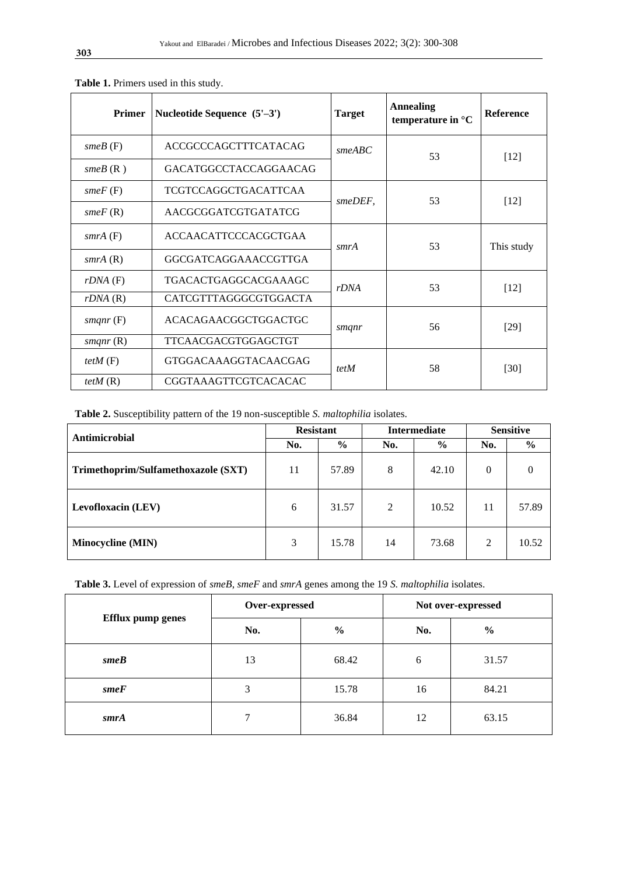| <b>Primer</b>       | Nucleotide Sequence $(5'-3')$ | <b>Target</b> | <b>Annealing</b><br>temperature in °C | <b>Reference</b> |
|---------------------|-------------------------------|---------------|---------------------------------------|------------------|
| $\mathit{smeB}$ (F) | <b>ACCGCCCAGCTTTCATACAG</b>   | smeABC        | 53                                    | $[12]$           |
| $\mathit{smeB}$ (R) | GACATGGCCTACCAGGAACAG         |               |                                       |                  |
| $smeF$ (F)          | <b>TCGTCCAGGCTGACATTCAA</b>   | smeDEF,       |                                       | $[12]$           |
| smeF(R)             | AACGCGGATCGTGATATCG           |               | 53                                    |                  |
| $smrA$ (F)          | <b>ACCAACATTCCCACGCTGAA</b>   | smrA          | 53                                    | This study       |
| smrA(R)             | GGCGATCAGGAAACCGTTGA          |               |                                       |                  |
| $rDNA$ (F)          | <b>TGACACTGAGGCACGAAAGC</b>   | rDNA          | 53                                    | $[12]$           |
| rDNA(R)             | CATCGTTTAGGGCGTGGACTA         |               |                                       |                  |
| smqnr $(F)$         | ACACAGAACGGCTGGACTGC          | smanr         | 56                                    | [29]             |
| smqnr(R)            | <b>TTCAACGACGTGGAGCTGT</b>    |               |                                       |                  |
| tetM $(F)$          | <b>GTGGACAAAGGTACAACGAG</b>   | tetM          | 58                                    | $[30]$           |
| tet $M(R)$          | <b>CGGTAAAGTTCGTCACACAC</b>   |               |                                       |                  |

**Table 1.** Primers used in this study.

**Table 2.** Susceptibility pattern of the 19 non-susceptible *S. maltophilia* isolates.

| Antimicrobial                       | <b>Resistant</b> |               | <b>Intermediate</b> |                      | <b>Sensitive</b> |               |
|-------------------------------------|------------------|---------------|---------------------|----------------------|------------------|---------------|
|                                     | No.              | $\frac{0}{0}$ | No.                 | $\frac{6}{9}$<br>No. |                  | $\frac{6}{9}$ |
| Trimethoprim/Sulfamethoxazole (SXT) | 11               | 57.89         | 8                   | 42.10                | $\Omega$         | $\Omega$      |
| <b>Levofloxacin (LEV)</b>           | 6                | 31.57         | 2                   | 10.52                | 11               | 57.89         |
| <b>Minocycline</b> (MIN)            | 3                | 15.78         | 14                  | 73.68                | 2                | 10.52         |

**Table 3.** Level of expression of *smeB*, *smeF* and *smrA* genes among the 19 *S. maltophilia* isolates.

|                   | Over-expressed |               | Not over-expressed |               |  |
|-------------------|----------------|---------------|--------------------|---------------|--|
| Efflux pump genes | No.            | $\frac{6}{9}$ | No.                | $\frac{6}{6}$ |  |
| smeB              | 13             | 68.42         | 6                  | 31.57         |  |
| smeF              | 3              | 15.78         | 16                 | 84.21         |  |
| smrA              | 7              | 36.84         | 12                 | 63.15         |  |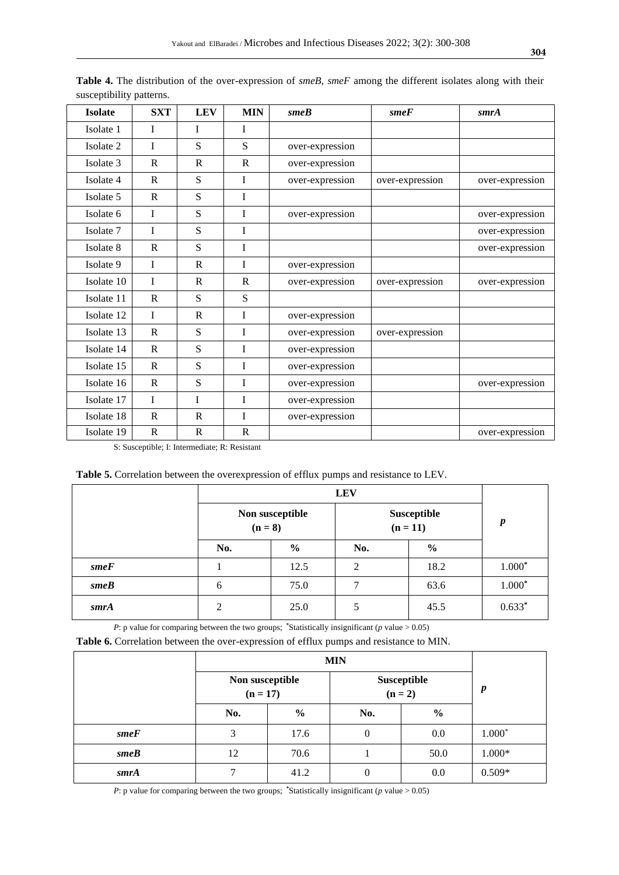| <b>Isolate</b> | <b>SXT</b>   | <b>LEV</b>   | <b>MIN</b>  | smeB            | smeF            | smrA            |
|----------------|--------------|--------------|-------------|-----------------|-----------------|-----------------|
| Isolate 1      | I            | I            | I           |                 |                 |                 |
| Isolate 2      | I            | S            | S           | over-expression |                 |                 |
| Isolate 3      | $\mathbb{R}$ | $\mathbb{R}$ | $\mathbf R$ | over-expression |                 |                 |
| Isolate 4      | $\mathbf R$  | S            | I           | over-expression | over-expression | over-expression |
| Isolate 5      | $\mathbf R$  | S            | Ī           |                 |                 |                 |
| Isolate 6      | Ī            | S            | I           | over-expression |                 | over-expression |
| Isolate 7      | Ī            | S            | I           |                 |                 | over-expression |
| Isolate 8      | $\mathbf R$  | S            | I           |                 |                 | over-expression |
| Isolate 9      | I            | $\mathbb{R}$ | I           | over-expression |                 |                 |
| Isolate 10     | I            | $\mathbb{R}$ | ${\bf R}$   | over-expression | over-expression | over-expression |
| Isolate 11     | $\mathbf R$  | S            | S           |                 |                 |                 |
| Isolate 12     | T            | $\mathbf R$  | I           | over-expression |                 |                 |
| Isolate 13     | $\mathsf{R}$ | S            | I           | over-expression | over-expression |                 |
| Isolate 14     | $\mathsf{R}$ | S            | I           | over-expression |                 |                 |
| Isolate 15     | $\mathbf R$  | S            | I           | over-expression |                 |                 |
| Isolate 16     | $\mathbb{R}$ | S            | I           | over-expression |                 | over-expression |
| Isolate 17     | I            | Ī            | Ī           | over-expression |                 |                 |
| Isolate 18     | $\mathbf R$  | $\mathbf{R}$ | I           | over-expression |                 |                 |
| Isolate 19     | $\mathbb{R}$ | $\mathbb{R}$ | $\mathbf R$ |                 |                 | over-expression |

**Table 4.** The distribution of the over-expression of *smeB*, *smeF* among the different isolates along with their susceptibility patterns.

S: Susceptible; I: Intermediate; R: Resistant

| Table 5. Correlation between the overexpression of efflux pumps and resistance to LEV. |  |  |  |
|----------------------------------------------------------------------------------------|--|--|--|
|----------------------------------------------------------------------------------------|--|--|--|

|      | Non susceptible<br>$(n=8)$ |               | Susceptible<br>$(n = 11)$ |               | $\boldsymbol{p}$ |
|------|----------------------------|---------------|---------------------------|---------------|------------------|
|      | No.                        | $\frac{6}{6}$ | No.                       | $\frac{6}{9}$ |                  |
| smeF |                            | 12.5          | $\overline{2}$            | 18.2          | $1.000*$         |
| smeB | 6                          | 75.0          | ⇁                         | 63.6          | $1.000*$         |
| smrA | 2                          | 25.0          | 5                         | 45.5          | $0.633*$         |

*P*: p value for comparing between the two groups; **\***Statistically insignificant (*p* value > 0.05)

**Table 6.** Correlation between the over-expression of efflux pumps and resistance to MIN.

|      | Non susceptible<br>$(n = 17)$ |               | Susceptible<br>$(n = 2)$ |               | $\boldsymbol{p}$ |
|------|-------------------------------|---------------|--------------------------|---------------|------------------|
|      | No.                           | $\frac{6}{9}$ | No.                      | $\frac{6}{6}$ |                  |
| smeF | 3                             | 17.6          | 0                        | 0.0           | $1.000*$         |
| smeB | 12                            | 70.6          |                          | 50.0          | $1.000*$         |
| smrA | ⇁                             | 41.2          | 0                        | 0.0           | $0.509*$         |

*P*: p value for comparing between the two groups; \*Statistically insignificant (*p* value > 0.05)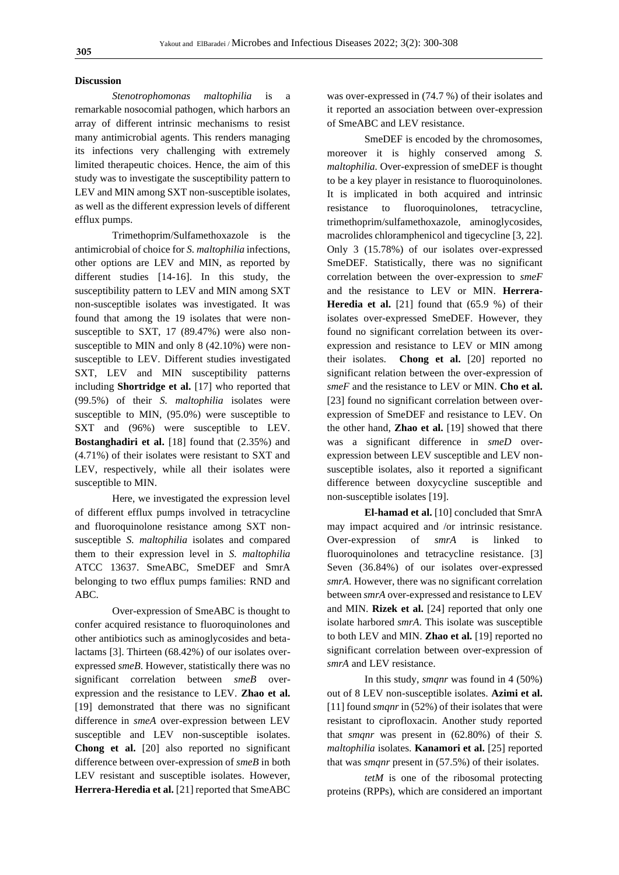#### **Discussion**

*Stenotrophomonas maltophilia* is a remarkable nosocomial pathogen, which harbors an array of different intrinsic mechanisms to resist many antimicrobial agents. This renders managing its infections very challenging with extremely limited therapeutic choices. Hence, the aim of this study was to investigate the susceptibility pattern to LEV and MIN among SXT non-susceptible isolates, as well as the different expression levels of different efflux pumps.

Trimethoprim/Sulfamethoxazole is the antimicrobial of choice for *S. maltophilia* infections, other options are LEV and MIN, as reported by different studies [14-16]. In this study, the susceptibility pattern to LEV and MIN among SXT non-susceptible isolates was investigated. It was found that among the 19 isolates that were nonsusceptible to SXT, 17 (89.47%) were also nonsusceptible to MIN and only 8 (42.10%) were nonsusceptible to LEV. Different studies investigated SXT, LEV and MIN susceptibility patterns including **Shortridge et al.** [17] who reported that (99.5%) of their *S. maltophilia* isolates were susceptible to MIN, (95.0%) were susceptible to SXT and  $(96%)$  were susceptible to LEV. **Bostanghadiri et al.** [18] found that (2.35%) and (4.71%) of their isolates were resistant to SXT and LEV, respectively, while all their isolates were susceptible to MIN.

Here, we investigated the expression level of different efflux pumps involved in tetracycline and fluoroquinolone resistance among SXT nonsusceptible *S. maltophilia* isolates and compared them to their expression level in *S. maltophilia* ATCC 13637. SmeABC, SmeDEF and SmrA belonging to two efflux pumps families: RND and ABC.

Over-expression of SmeABC is thought to confer acquired resistance to fluoroquinolones and other antibiotics such as aminoglycosides and betalactams [3]. Thirteen (68.42%) of our isolates overexpressed *smeB*. However, statistically there was no significant correlation between *smeB* overexpression and the resistance to LEV. **Zhao et al.** [19] demonstrated that there was no significant difference in *smeA* over-expression between LEV susceptible and LEV non-susceptible isolates. **Chong et al.** [20] also reported no significant difference between over-expression of *smeB* in both LEV resistant and susceptible isolates. However, **Herrera-Heredia et al.** [21] reported that SmeABC

was over-expressed in (74.7 %) of their isolates and it reported an association between over-expression of SmeABC and LEV resistance.

SmeDEF is encoded by the chromosomes, moreover it is highly conserved among *S. maltophilia.* Over-expression of smeDEF is thought to be a key player in resistance to fluoroquinolones. It is implicated in both acquired and intrinsic resistance to fluoroquinolones, tetracycline, trimethoprim/sulfamethoxazole, aminoglycosides, macrolides chloramphenicol and tigecycline [3, 22]. Only 3 (15.78%) of our isolates over-expressed SmeDEF. Statistically, there was no significant correlation between the over-expression to *smeF*  and the resistance to LEV or MIN. **Herrera-Heredia et al.** [21] found that (65.9 %) of their isolates over-expressed SmeDEF. However, they found no significant correlation between its overexpression and resistance to LEV or MIN among their isolates. **Chong et al.** [20] reported no significant relation between the over-expression of *smeF* and the resistance to LEV or MIN. **Cho et al.** [23] found no significant correlation between overexpression of SmeDEF and resistance to LEV. On the other hand, **Zhao et al.** [19] showed that there was a significant difference in *smeD* overexpression between LEV susceptible and LEV nonsusceptible isolates, also it reported a significant difference between doxycycline susceptible and non-susceptible isolates [19].

**El-hamad et al.** [10] concluded that SmrA may impact acquired and /or intrinsic resistance. Over-expression of *smrA* is linked to fluoroquinolones and tetracycline resistance. [3] Seven (36.84%) of our isolates over-expressed *smrA*. However, there was no significant correlation between *smrA* over-expressed and resistance to LEV and MIN. **Rizek et al.** [24] reported that only one isolate harbored *smrA*. This isolate was susceptible to both LEV and MIN. **Zhao et al.** [19] reported no significant correlation between over-expression of *smrA* and LEV resistance.

In this study, *smqnr* was found in 4 (50%) out of 8 LEV non-susceptible isolates. **Azimi et al.** [11] found *smqnr* in (52%) of their isolates that were resistant to ciprofloxacin. Another study reported that *smqnr* was present in (62.80%) of their *S. maltophilia* isolates. **Kanamori et al.** [25] reported that was *smqnr* present in (57.5%) of their isolates.

*tetM* is one of the ribosomal protecting proteins (RPPs), which are considered an important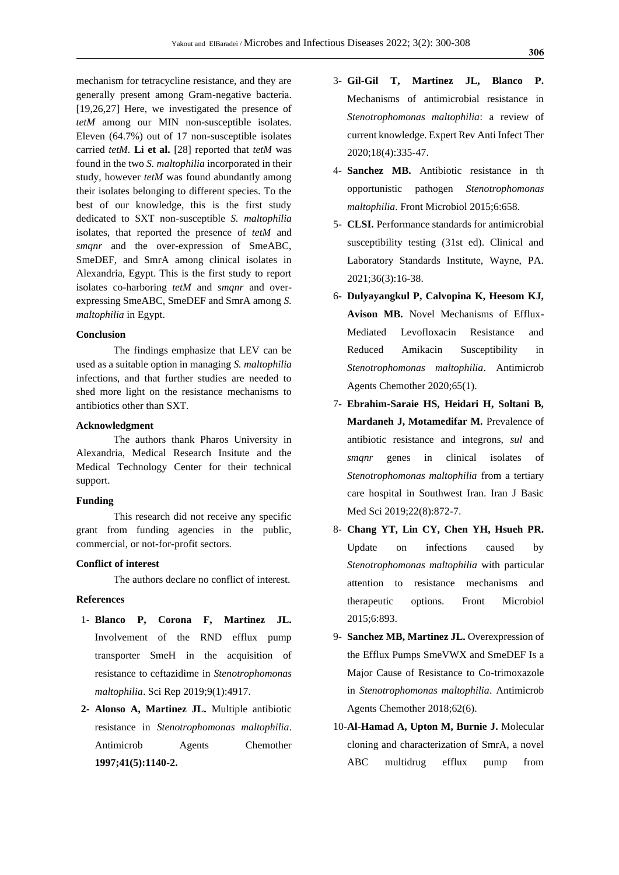mechanism for tetracycline resistance, and they are generally present among Gram-negative bacteria. [19,26,27] Here, we investigated the presence of *tetM* among our MIN non-susceptible isolates. Eleven (64.7%) out of 17 non-susceptible isolates carried *tetM*. **Li et al.** [28] reported that *tetM* was found in the two *S. maltophilia* incorporated in their study, however *tetM* was found abundantly among their isolates belonging to different species. To the best of our knowledge, this is the first study dedicated to SXT non-susceptible *S. maltophilia* isolates, that reported the presence of *tetM* and *smqnr* and the over-expression of SmeABC, SmeDEF, and SmrA among clinical isolates in Alexandria, Egypt. This is the first study to report isolates co-harboring *tetM* and *smqnr* and overexpressing SmeABC, SmeDEF and SmrA among *S. maltophilia* in Egypt.

## **Conclusion**

The findings emphasize that LEV can be used as a suitable option in managing *S. maltophilia* infections, and that further studies are needed to shed more light on the resistance mechanisms to antibiotics other than SXT.

## **Acknowledgment**

The authors thank Pharos University in Alexandria, Medical Research Insitute and the Medical Technology Center for their technical support.

## **Funding**

This research did not receive any specific grant from funding agencies in the public, commercial, or not-for-profit sectors.

## **Conflict of interest**

The authors declare no conflict of interest.

## **References**

- 1- **Blanco P, Corona F, Martinez JL.**  Involvement of the RND efflux pump transporter SmeH in the acquisition of resistance to ceftazidime in *Stenotrophomonas maltophilia*. Sci Rep 2019;9(1):4917.
- **2- Alonso A, Martinez JL.** Multiple antibiotic resistance in *Stenotrophomonas maltophilia*. Antimicrob Agents Chemother **1997;41(5):1140-2.**
- 3- **Gil-Gil T, Martinez JL, Blanco P.**  Mechanisms of antimicrobial resistance in *Stenotrophomonas maltophilia*: a review of current knowledge. Expert Rev Anti Infect Ther 2020;18(4):335-47.
- 4- **Sanchez MB.** Antibiotic resistance in th opportunistic pathogen *Stenotrophomonas maltophilia*. Front Microbiol 2015;6:658.
- 5- **CLSI.** Performance standards for antimicrobial susceptibility testing (31st ed). Clinical and Laboratory Standards Institute, Wayne, PA. 2021;36(3):16-38.
- 6- **Dulyayangkul P, Calvopina K, Heesom KJ, Avison MB.** Novel Mechanisms of Efflux-Mediated Levofloxacin Resistance and Reduced Amikacin Susceptibility in *Stenotrophomonas maltophilia*. Antimicrob Agents Chemother 2020;65(1).
- 7- **Ebrahim-Saraie HS, Heidari H, Soltani B,**  Mardaneh J, Motamedifar M. Prevalence of antibiotic resistance and integrons, *sul* and *smqnr* genes in clinical isolates of *Stenotrophomonas maltophilia* from a tertiary care hospital in Southwest Iran. Iran J Basic Med Sci 2019;22(8):872-7.
- 8- **Chang YT, Lin CY, Chen YH, Hsueh PR.** Update on infections caused by *Stenotrophomonas maltophilia* with particular attention to resistance mechanisms and therapeutic options. Front Microbiol 2015;6:893.
- 9- **Sanchez MB, Martinez JL.** Overexpression of the Efflux Pumps SmeVWX and SmeDEF Is a Major Cause of Resistance to Co-trimoxazole in *Stenotrophomonas maltophilia*. Antimicrob Agents Chemother 2018;62(6).
- 10-**Al-Hamad A, Upton M, Burnie J.** Molecular cloning and characterization of SmrA, a novel ABC multidrug efflux pump from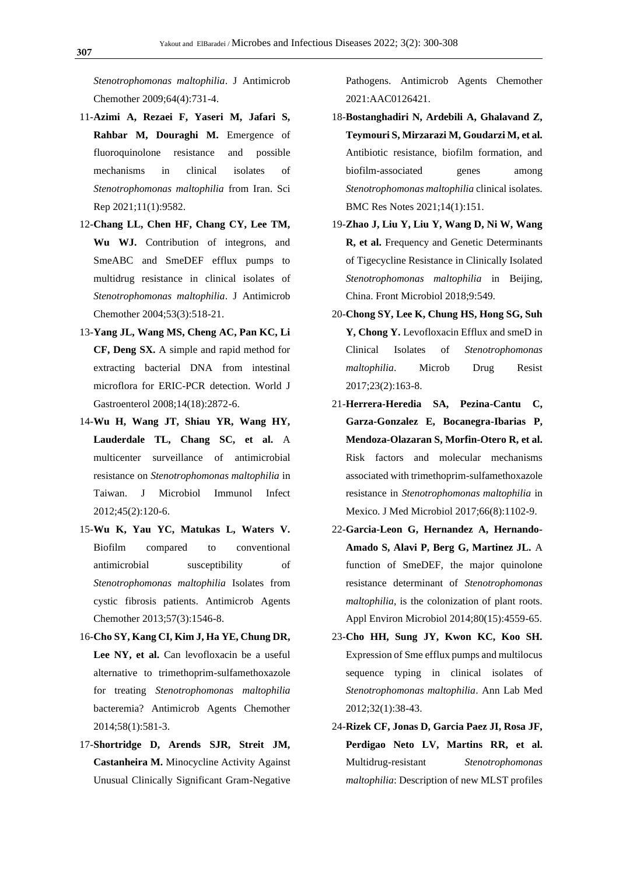*Stenotrophomonas maltophilia*. J Antimicrob Chemother 2009;64(4):731-4.

- 11-**Azimi A, Rezaei F, Yaseri M, Jafari S, Rahbar M, Douraghi M.** Emergence of fluoroquinolone resistance and possible mechanisms in clinical isolates of *Stenotrophomonas maltophilia* from Iran. Sci Rep 2021;11(1):9582.
- 12-**Chang LL, Chen HF, Chang CY, Lee TM, Wu WJ.** Contribution of integrons, and SmeABC and SmeDEF efflux pumps to multidrug resistance in clinical isolates of *Stenotrophomonas maltophilia*. J Antimicrob Chemother 2004;53(3):518-21.
- 13-**Yang JL, Wang MS, Cheng AC, Pan KC, Li CF, Deng SX.** A simple and rapid method for extracting bacterial DNA from intestinal microflora for ERIC-PCR detection. World J Gastroenterol 2008;14(18):2872-6.
- 14-**Wu H, Wang JT, Shiau YR, Wang HY, Lauderdale TL, Chang SC, et al.** A multicenter surveillance of antimicrobial resistance on *Stenotrophomonas maltophilia* in Taiwan. J Microbiol Immunol Infect 2012;45(2):120-6.
- 15-**Wu K, Yau YC, Matukas L, Waters V.**  Biofilm compared to conventional antimicrobial susceptibility of *Stenotrophomonas maltophilia* Isolates from cystic fibrosis patients. Antimicrob Agents Chemother 2013;57(3):1546-8.
- 16-**Cho SY, Kang CI, Kim J, Ha YE, Chung DR,** Lee NY, et al. Can levofloxacin be a useful alternative to trimethoprim-sulfamethoxazole for treating *Stenotrophomonas maltophilia*  bacteremia? Antimicrob Agents Chemother 2014;58(1):581-3.
- 17-**Shortridge D, Arends SJR, Streit JM, Castanheira M.** Minocycline Activity Against Unusual Clinically Significant Gram-Negative

Pathogens. Antimicrob Agents Chemother 2021:AAC0126421.

- 18-**Bostanghadiri N, Ardebili A, Ghalavand Z, Teymouri S, Mirzarazi M, Goudarzi M, et al.**  Antibiotic resistance, biofilm formation, and biofilm-associated genes among *Stenotrophomonas maltophilia* clinical isolates. BMC Res Notes 2021;14(1):151.
- 19-**Zhao J, Liu Y, Liu Y, Wang D, Ni W, Wang R, et al.** Frequency and Genetic Determinants of Tigecycline Resistance in Clinically Isolated *Stenotrophomonas maltophilia* in Beijing, China. Front Microbiol 2018;9:549.
- 20-**Chong SY, Lee K, Chung HS, Hong SG, Suh Y, Chong Y.** Levofloxacin Efflux and smeD in Clinical Isolates of *Stenotrophomonas maltophilia*. Microb Drug Resist 2017;23(2):163-8.
- 21-**Herrera-Heredia SA, Pezina-Cantu C, Garza-Gonzalez E, Bocanegra-Ibarias P, Mendoza-Olazaran S, Morfin-Otero R, et al.** Risk factors and molecular mechanisms associated with trimethoprim-sulfamethoxazole resistance in *Stenotrophomonas maltophilia* in Mexico. J Med Microbiol 2017;66(8):1102-9.
- 22-**Garcia-Leon G, Hernandez A, Hernando-Amado S, Alavi P, Berg G, Martinez JL.** A function of SmeDEF, the major quinolone resistance determinant of *Stenotrophomonas maltophilia*, is the colonization of plant roots. Appl Environ Microbiol 2014;80(15):4559-65.
- 23-**Cho HH, Sung JY, Kwon KC, Koo SH.**  Expression of Sme efflux pumps and multilocus sequence typing in clinical isolates of *Stenotrophomonas maltophilia*. Ann Lab Med 2012;32(1):38-43.
- 24-**Rizek CF, Jonas D, Garcia Paez JI, Rosa JF, Perdigao Neto LV, Martins RR, et al.**  Multidrug-resistant *Stenotrophomonas maltophilia*: Description of new MLST profiles